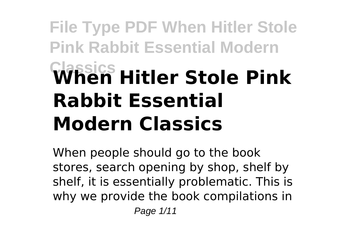# **File Type PDF When Hitler Stole Pink Rabbit Essential Modern Classics When Hitler Stole Pink Rabbit Essential Modern Classics**

When people should go to the book stores, search opening by shop, shelf by shelf, it is essentially problematic. This is why we provide the book compilations in Page 1/11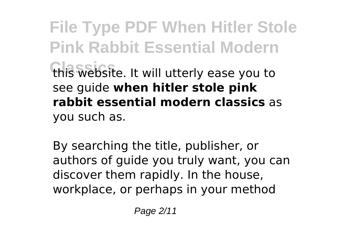**File Type PDF When Hitler Stole Pink Rabbit Essential Modern Classics** this website. It will utterly ease you to see guide **when hitler stole pink rabbit essential modern classics** as you such as.

By searching the title, publisher, or authors of guide you truly want, you can discover them rapidly. In the house, workplace, or perhaps in your method

Page 2/11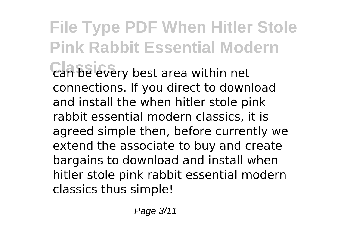### **File Type PDF When Hitler Stole Pink Rabbit Essential Modern Can be every best area within net** connections. If you direct to download and install the when hitler stole pink rabbit essential modern classics, it is agreed simple then, before currently we

extend the associate to buy and create bargains to download and install when hitler stole pink rabbit essential modern classics thus simple!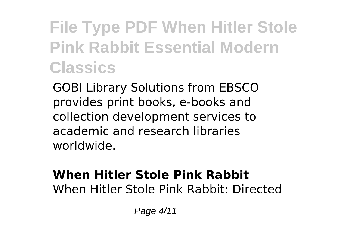GOBI Library Solutions from EBSCO provides print books, e-books and collection development services to academic and research libraries worldwide.

#### **When Hitler Stole Pink Rabbit** When Hitler Stole Pink Rabbit: Directed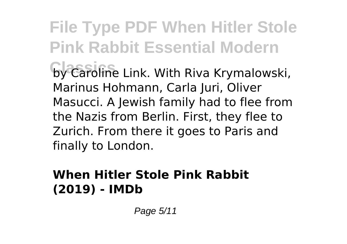**File Type PDF When Hitler Stole Pink Rabbit Essential Modern** by Caroline Link. With Riva Krymalowski, Marinus Hohmann, Carla Juri, Oliver Masucci. A Jewish family had to flee from the Nazis from Berlin. First, they flee to Zurich. From there it goes to Paris and finally to London.

#### **When Hitler Stole Pink Rabbit (2019) - IMDb**

Page 5/11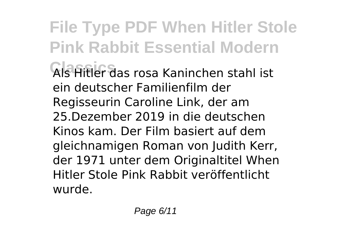**File Type PDF When Hitler Stole Pink Rabbit Essential Modern Classics** Als Hitler das rosa Kaninchen stahl ist ein deutscher Familienfilm der Regisseurin Caroline Link, der am 25.Dezember 2019 in die deutschen Kinos kam. Der Film basiert auf dem gleichnamigen Roman von Judith Kerr, der 1971 unter dem Originaltitel When Hitler Stole Pink Rabbit veröffentlicht wurde.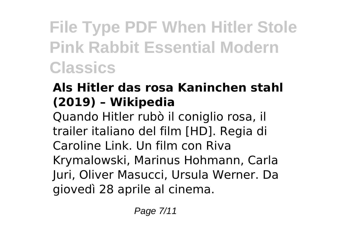#### **Als Hitler das rosa Kaninchen stahl (2019) – Wikipedia**

Quando Hitler rubò il coniglio rosa, il trailer italiano del film [HD]. Regia di Caroline Link. Un film con Riva Krymalowski, Marinus Hohmann, Carla Juri, Oliver Masucci, Ursula Werner. Da giovedì 28 aprile al cinema.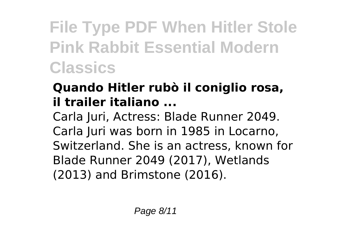#### **Quando Hitler rubò il coniglio rosa, il trailer italiano ...**

Carla Juri, Actress: Blade Runner 2049. Carla Juri was born in 1985 in Locarno, Switzerland. She is an actress, known for Blade Runner 2049 (2017), Wetlands (2013) and Brimstone (2016).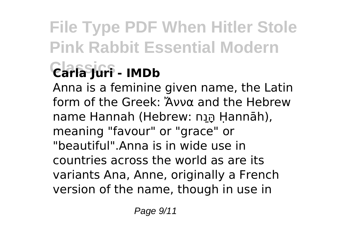### **Classics Carla Juri - IMDb**

Anna is a feminine given name, the Latin form of the Greek: Ἄννα and the Hebrew name Hannah (Hebrew: חַנָּה Ḥannāh), meaning "favour" or "grace" or "beautiful".Anna is in wide use in countries across the world as are its variants Ana, Anne, originally a French version of the name, though in use in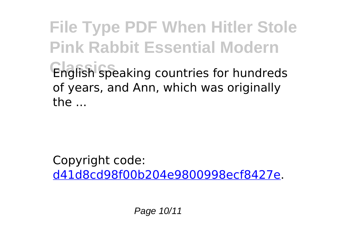**File Type PDF When Hitler Stole Pink Rabbit Essential Modern Classics** English speaking countries for hundreds of years, and Ann, which was originally the ...

Copyright code: [d41d8cd98f00b204e9800998ecf8427e.](/sitemap.xml)

Page 10/11